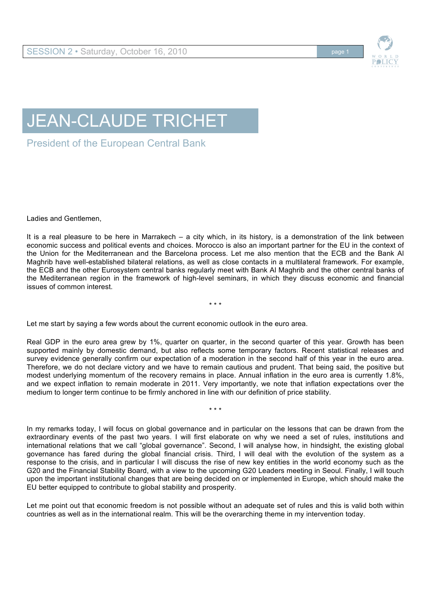

# JEAN-CLAUDE TRICHET

President of the European Central Bank

Ladies and Gentlemen,

It is a real pleasure to be here in Marrakech – a city which, in its history, is a demonstration of the link between economic success and political events and choices. Morocco is also an important partner for the EU in the context of the Union for the Mediterranean and the Barcelona process. Let me also mention that the ECB and the Bank Al Maghrib have well-established bilateral relations, as well as close contacts in a multilateral framework. For example, the ECB and the other Eurosystem central banks regularly meet with Bank Al Maghrib and the other central banks of the Mediterranean region in the framework of high-level seminars, in which they discuss economic and financial issues of common interest.

\* \* \*

Let me start by saying a few words about the current economic outlook in the euro area.

Real GDP in the euro area grew by 1%, quarter on quarter, in the second quarter of this year. Growth has been supported mainly by domestic demand, but also reflects some temporary factors. Recent statistical releases and survey evidence generally confirm our expectation of a moderation in the second half of this year in the euro area. Therefore, we do not declare victory and we have to remain cautious and prudent. That being said, the positive but modest underlying momentum of the recovery remains in place. Annual inflation in the euro area is currently 1.8%, and we expect inflation to remain moderate in 2011. Very importantly, we note that inflation expectations over the medium to longer term continue to be firmly anchored in line with our definition of price stability.

\* \* \*

In my remarks today, I will focus on global governance and in particular on the lessons that can be drawn from the extraordinary events of the past two years. I will first elaborate on why we need a set of rules, institutions and international relations that we call "global governance". Second, I will analyse how, in hindsight, the existing global governance has fared during the global financial crisis. Third, I will deal with the evolution of the system as a response to the crisis, and in particular I will discuss the rise of new key entities in the world economy such as the G20 and the Financial Stability Board, with a view to the upcoming G20 Leaders meeting in Seoul. Finally, I will touch upon the important institutional changes that are being decided on or implemented in Europe, which should make the EU better equipped to contribute to global stability and prosperity.

Let me point out that economic freedom is not possible without an adequate set of rules and this is valid both within countries as well as in the international realm. This will be the overarching theme in my intervention today.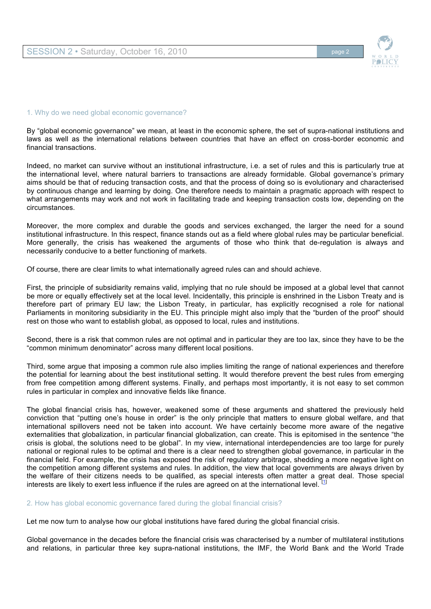

#### 1. Why do we need global economic governance?

By "global economic governance" we mean, at least in the economic sphere, the set of supra-national institutions and laws as well as the international relations between countries that have an effect on cross-border economic and financial transactions.

Indeed, no market can survive without an institutional infrastructure, i.e. a set of rules and this is particularly true at the international level, where natural barriers to transactions are already formidable. Global governance's primary aims should be that of reducing transaction costs, and that the process of doing so is evolutionary and characterised by continuous change and learning by doing. One therefore needs to maintain a pragmatic approach with respect to what arrangements may work and not work in facilitating trade and keeping transaction costs low, depending on the circumstances.

Moreover, the more complex and durable the goods and services exchanged, the larger the need for a sound institutional infrastructure. In this respect, finance stands out as a field where global rules may be particular beneficial. More generally, the crisis has weakened the arguments of those who think that de-regulation is always and necessarily conducive to a better functioning of markets.

Of course, there are clear limits to what internationally agreed rules can and should achieve.

First, the principle of subsidiarity remains valid, implying that no rule should be imposed at a global level that cannot be more or equally effectively set at the local level. Incidentally, this principle is enshrined in the Lisbon Treaty and is therefore part of primary EU law; the Lisbon Treaty, in particular, has explicitly recognised a role for national Parliaments in monitoring subsidiarity in the EU. This principle might also imply that the "burden of the proof" should rest on those who want to establish global, as opposed to local, rules and institutions.

Second, there is a risk that common rules are not optimal and in particular they are too lax, since they have to be the "common minimum denominator" across many different local positions.

Third, some argue that imposing a common rule also implies limiting the range of national experiences and therefore the potential for learning about the best institutional setting. It would therefore prevent the best rules from emerging from free competition among different systems. Finally, and perhaps most importantly, it is not easy to set common rules in particular in complex and innovative fields like finance.

The global financial crisis has, however, weakened some of these arguments and shattered the previously held conviction that "putting one's house in order" is the only principle that matters to ensure global welfare, and that international spillovers need not be taken into account. We have certainly become more aware of the negative externalities that globalization, in particular financial globalization, can create. This is epitomised in the sentence "the crisis is global, the solutions need to be global". In my view, international interdependencies are too large for purely national or regional rules to be optimal and there is a clear need to strengthen global governance, in particular in the financial field. For example, the crisis has exposed the risk of regulatory arbitrage, shedding a more negative light on the competition among different systems and rules. In addition, the view that local governments are always driven by the welfare of their citizens needs to be qualified, as special interests often matter a great deal. Those special interests are likely to exert less influence if the rules are agreed on at the international level.

2. How has global economic governance fared during the global financial crisis?

Let me now turn to analyse how our global institutions have fared during the global financial crisis.

Global governance in the decades before the financial crisis was characterised by a number of multilateral institutions and relations, in particular three key supra-national institutions, the IMF, the World Bank and the World Trade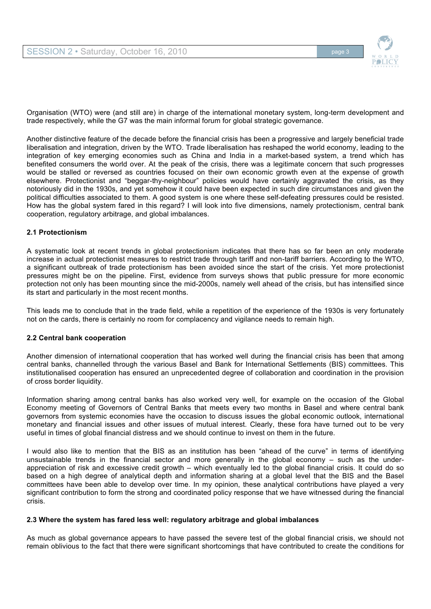

Organisation (WTO) were (and still are) in charge of the international monetary system, long-term development and trade respectively, while the G7 was the main informal forum for global strategic governance.

Another distinctive feature of the decade before the financial crisis has been a progressive and largely beneficial trade liberalisation and integration, driven by the WTO. Trade liberalisation has reshaped the world economy, leading to the integration of key emerging economies such as China and India in a market-based system, a trend which has benefited consumers the world over. At the peak of the crisis, there was a legitimate concern that such progresses would be stalled or reversed as countries focused on their own economic growth even at the expense of growth elsewhere. Protectionist and "beggar-thy-neighbour" policies would have certainly aggravated the crisis, as they notoriously did in the 1930s, and yet somehow it could have been expected in such dire circumstances and given the political difficulties associated to them. A good system is one where these self-defeating pressures could be resisted. How has the global system fared in this regard? I will look into five dimensions, namely protectionism, central bank cooperation, regulatory arbitrage, and global imbalances.

## **2.1 Protectionism**

A systematic look at recent trends in global protectionism indicates that there has so far been an only moderate increase in actual protectionist measures to restrict trade through tariff and non-tariff barriers. According to the WTO, a significant outbreak of trade protectionism has been avoided since the start of the crisis. Yet more protectionist pressures might be on the pipeline. First, evidence from surveys shows that public pressure for more economic protection not only has been mounting since the mid-2000s, namely well ahead of the crisis, but has intensified since its start and particularly in the most recent months.

This leads me to conclude that in the trade field, while a repetition of the experience of the 1930s is very fortunately not on the cards, there is certainly no room for complacency and vigilance needs to remain high.

# **2.2 Central bank cooperation**

Another dimension of international cooperation that has worked well during the financial crisis has been that among central banks, channelled through the various Basel and Bank for International Settlements (BIS) committees. This institutionalised cooperation has ensured an unprecedented degree of collaboration and coordination in the provision of cross border liquidity.

Information sharing among central banks has also worked very well, for example on the occasion of the Global Economy meeting of Governors of Central Banks that meets every two months in Basel and where central bank governors from systemic economies have the occasion to discuss issues the global economic outlook, international monetary and financial issues and other issues of mutual interest. Clearly, these fora have turned out to be very useful in times of global financial distress and we should continue to invest on them in the future.

I would also like to mention that the BIS as an institution has been "ahead of the curve" in terms of identifying unsustainable trends in the financial sector and more generally in the global economy – such as the underappreciation of risk and excessive credit growth – which eventually led to the global financial crisis. It could do so based on a high degree of analytical depth and information sharing at a global level that the BIS and the Basel committees have been able to develop over time. In my opinion, these analytical contributions have played a very significant contribution to form the strong and coordinated policy response that we have witnessed during the financial crisis.

## **2.3 Where the system has fared less well: regulatory arbitrage and global imbalances**

As much as global governance appears to have passed the severe test of the global financial crisis, we should not remain oblivious to the fact that there were significant shortcomings that have contributed to create the conditions for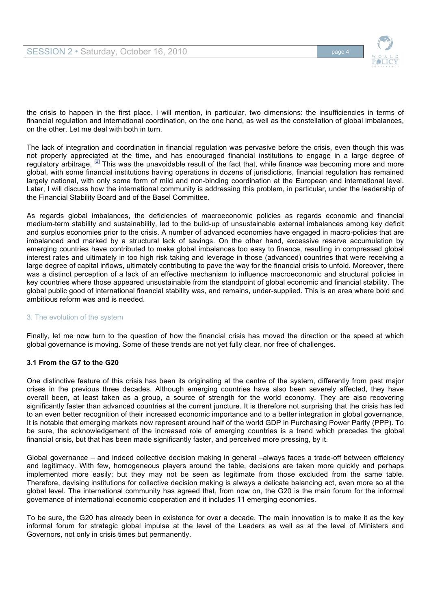

the crisis to happen in the first place. I will mention, in particular, two dimensions: the insufficiencies in terms of financial regulation and international coordination, on the one hand, as well as the constellation of global imbalances, on the other. Let me deal with both in turn.

The lack of integration and coordination in financial regulation was pervasive before the crisis, even though this was not properly appreciated at the time, and has encouraged financial institutions to engage in a large degree of regulatory arbitrage. <sup>[2]</sup> This was the unavoidable result of the fact that, while finance was becoming more and more global, with some financial institutions having operations in dozens of jurisdictions, financial regulation has remained largely national, with only some form of mild and non-binding coordination at the European and international level. Later, I will discuss how the international community is addressing this problem, in particular, under the leadership of the Financial Stability Board and of the Basel Committee.

As regards global imbalances, the deficiencies of macroeconomic policies as regards economic and financial medium-term stability and sustainability, led to the build-up of unsustainable external imbalances among key deficit and surplus economies prior to the crisis. A number of advanced economies have engaged in macro-policies that are imbalanced and marked by a structural lack of savings. On the other hand, excessive reserve accumulation by emerging countries have contributed to make global imbalances too easy to finance, resulting in compressed global interest rates and ultimately in too high risk taking and leverage in those (advanced) countries that were receiving a large degree of capital inflows, ultimately contributing to pave the way for the financial crisis to unfold. Moreover, there was a distinct perception of a lack of an effective mechanism to influence macroeconomic and structural policies in key countries where those appeared unsustainable from the standpoint of global economic and financial stability. The global public good of international financial stability was, and remains, under-supplied. This is an area where bold and ambitious reform was and is needed.

# 3. The evolution of the system

Finally, let me now turn to the question of how the financial crisis has moved the direction or the speed at which global governance is moving. Some of these trends are not yet fully clear, nor free of challenges.

# **3.1 From the G7 to the G20**

One distinctive feature of this crisis has been its originating at the centre of the system, differently from past major crises in the previous three decades. Although emerging countries have also been severely affected, they have overall been, at least taken as a group, a source of strength for the world economy. They are also recovering significantly faster than advanced countries at the current juncture. It is therefore not surprising that the crisis has led to an even better recognition of their increased economic importance and to a better integration in global governance. It is notable that emerging markets now represent around half of the world GDP in Purchasing Power Parity (PPP). To be sure, the acknowledgement of the increased role of emerging countries is a trend which precedes the global financial crisis, but that has been made significantly faster, and perceived more pressing, by it.

Global governance – and indeed collective decision making in general –always faces a trade-off between efficiency and legitimacy. With few, homogeneous players around the table, decisions are taken more quickly and perhaps implemented more easily; but they may not be seen as legitimate from those excluded from the same table. Therefore, devising institutions for collective decision making is always a delicate balancing act, even more so at the global level. The international community has agreed that, from now on, the G20 is the main forum for the informal governance of international economic cooperation and it includes 11 emerging economies.

To be sure, the G20 has already been in existence for over a decade. The main innovation is to make it as the key informal forum for strategic global impulse at the level of the Leaders as well as at the level of Ministers and Governors, not only in crisis times but permanently.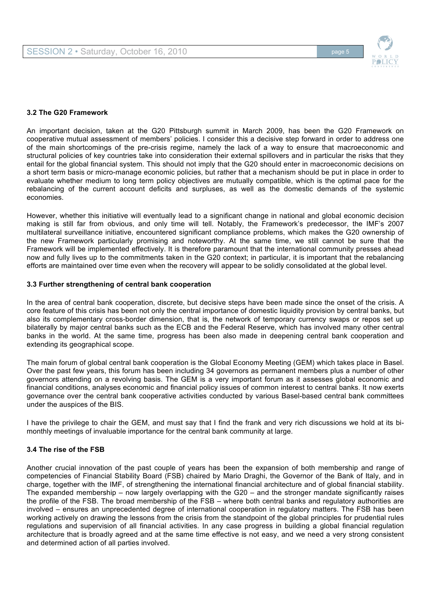



## **3.2 The G20 Framework**

An important decision, taken at the G20 Pittsburgh summit in March 2009, has been the G20 Framework on cooperative mutual assessment of members' policies. I consider this a decisive step forward in order to address one of the main shortcomings of the pre-crisis regime, namely the lack of a way to ensure that macroeconomic and structural policies of key countries take into consideration their external spillovers and in particular the risks that they entail for the global financial system. This should not imply that the G20 should enter in macroeconomic decisions on a short term basis or micro-manage economic policies, but rather that a mechanism should be put in place in order to evaluate whether medium to long term policy objectives are mutually compatible, which is the optimal pace for the rebalancing of the current account deficits and surpluses, as well as the domestic demands of the systemic economies.

However, whether this initiative will eventually lead to a significant change in national and global economic decision making is still far from obvious, and only time will tell. Notably, the Framework's predecessor, the IMF's 2007 multilateral surveillance initiative, encountered significant compliance problems, which makes the G20 ownership of the new Framework particularly promising and noteworthy. At the same time, we still cannot be sure that the Framework will be implemented effectively. It is therefore paramount that the international community presses ahead now and fully lives up to the commitments taken in the G20 context; in particular, it is important that the rebalancing efforts are maintained over time even when the recovery will appear to be solidly consolidated at the global level.

## **3.3 Further strengthening of central bank cooperation**

In the area of central bank cooperation, discrete, but decisive steps have been made since the onset of the crisis. A core feature of this crisis has been not only the central importance of domestic liquidity provision by central banks, but also its complementary cross-border dimension, that is, the network of temporary currency swaps or repos set up bilaterally by major central banks such as the ECB and the Federal Reserve, which has involved many other central banks in the world. At the same time, progress has been also made in deepening central bank cooperation and extending its geographical scope.

The main forum of global central bank cooperation is the Global Economy Meeting (GEM) which takes place in Basel. Over the past few years, this forum has been including 34 governors as permanent members plus a number of other governors attending on a revolving basis. The GEM is a very important forum as it assesses global economic and financial conditions, analyses economic and financial policy issues of common interest to central banks. It now exerts governance over the central bank cooperative activities conducted by various Basel-based central bank committees under the auspices of the BIS.

I have the privilege to chair the GEM, and must say that I find the frank and very rich discussions we hold at its bimonthly meetings of invaluable importance for the central bank community at large.

# **3.4 The rise of the FSB**

Another crucial innovation of the past couple of years has been the expansion of both membership and range of competencies of Financial Stability Board (FSB) chaired by Mario Draghi, the Governor of the Bank of Italy, and in charge, together with the IMF, of strengthening the international financial architecture and of global financial stability. The expanded membership – now largely overlapping with the G20 – and the stronger mandate significantly raises the profile of the FSB. The broad membership of the FSB – where both central banks and regulatory authorities are involved – ensures an unprecedented degree of international cooperation in regulatory matters. The FSB has been working actively on drawing the lessons from the crisis from the standpoint of the global principles for prudential rules regulations and supervision of all financial activities. In any case progress in building a global financial regulation architecture that is broadly agreed and at the same time effective is not easy, and we need a very strong consistent and determined action of all parties involved.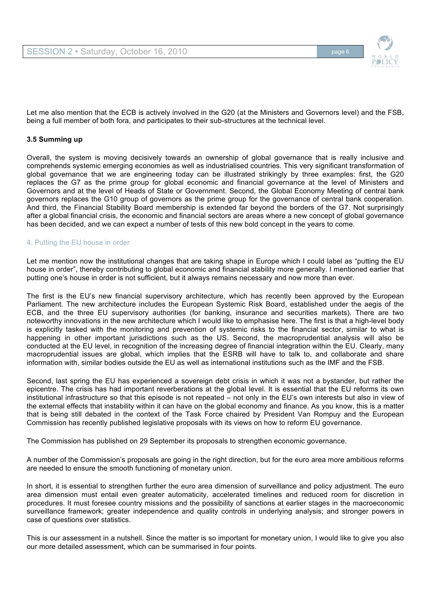

Let me also mention that the ECB is actively involved in the G20 (at the Ministers and Governors level) and the FSB, being a full member of both fora, and participates to their sub-structures at the technical level.

## **3.5 Summing up**

Overall, the system is moving decisively towards an ownership of global governance that is really inclusive and comprehends systemic emerging economies as well as industrialised countries. This very significant transformation of global governance that we are engineering today can be illustrated strikingly by three examples: first, the G20 replaces the G7 as the prime group for global economic and financial governance at the level of Ministers and Governors and at the level of Heads of State or Government. Second, the Global Economy Meeting of central bank governors replaces the G10 group of governors as the prime group for the governance of central bank cooperation. And third, the Financial Stability Board membership is extended far beyond the borders of the G7. Not surprisingly after a global financial crisis, the economic and financial sectors are areas where a new concept of global governance has been decided, and we can expect a number of tests of this new bold concept in the years to come.

## 4. Putting the EU house in order

Let me mention now the institutional changes that are taking shape in Europe which I could label as "putting the EU house in order", thereby contributing to global economic and financial stability more generally. I mentioned earlier that putting one's house in order is not sufficient, but it always remains necessary and now more than ever.

The first is the EU's new financial supervisory architecture, which has recently been approved by the European Parliament. The new architecture includes the European Systemic Risk Board, established under the aegis of the ECB, and the three EU supervisory authorities (for banking, insurance and securities markets). There are two noteworthy innovations in the new architecture which I would like to emphasise here. The first is that a high-level body is explicitly tasked with the monitoring and prevention of systemic risks to the financial sector, similar to what is happening in other important jurisdictions such as the US. Second, the macroprudential analysis will also be conducted at the EU level, in recognition of the increasing degree of financial integration within the EU. Clearly, many macroprudential issues are global, which implies that the ESRB will have to talk to, and collaborate and share information with, similar bodies outside the EU as well as international institutions such as the IMF and the FSB.

Second, last spring the EU has experienced a sovereign debt crisis in which it was not a bystander, but rather the epicentre. The crisis has had important reverberations at the global level. It is essential that the EU reforms its own institutional infrastructure so that this episode is not repeated – not only in the EU's own interests but also in view of the external effects that instability within it can have on the global economy and finance. As you know, this is a matter that is being still debated in the context of the Task Force chaired by President Van Rompuy and the European Commission has recently published legislative proposals with its views on how to reform EU governance.

The Commission has published on 29 September its proposals to strengthen economic governance.

A number of the Commission's proposals are going in the right direction, but for the euro area more ambitious reforms are needed to ensure the smooth functioning of monetary union.

In short, it is essential to strengthen further the euro area dimension of surveillance and policy adjustment. The euro area dimension must entail even greater automaticity, accelerated timelines and reduced room for discretion in procedures. It must foresee country missions and the possibility of sanctions at earlier stages in the macroeconomic surveillance framework; greater independence and quality controls in underlying analysis; and stronger powers in case of questions over statistics.

This is our assessment in a nutshell. Since the matter is so important for monetary union, I would like to give you also our more detailed assessment, which can be summarised in four points.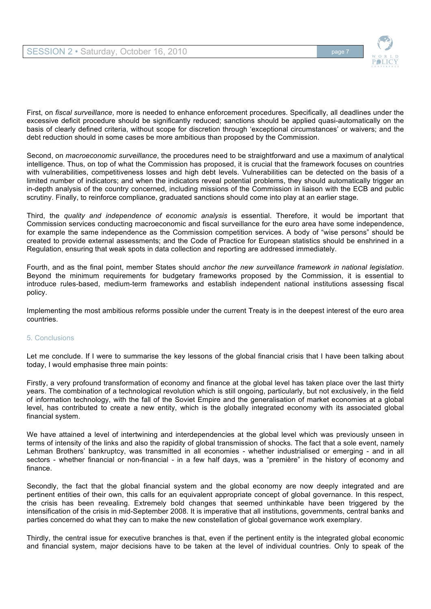

First, on *fiscal surveillance*, more is needed to enhance enforcement procedures. Specifically, all deadlines under the excessive deficit procedure should be significantly reduced; sanctions should be applied quasi-automatically on the basis of clearly defined criteria, without scope for discretion through 'exceptional circumstances' or waivers; and the debt reduction should in some cases be more ambitious than proposed by the Commission.

Second, on *macroeconomic surveillance*, the procedures need to be straightforward and use a maximum of analytical intelligence. Thus, on top of what the Commission has proposed, it is crucial that the framework focuses on countries with vulnerabilities, competitiveness losses and high debt levels. Vulnerabilities can be detected on the basis of a limited number of indicators; and when the indicators reveal potential problems, they should automatically trigger an in-depth analysis of the country concerned, including missions of the Commission in liaison with the ECB and public scrutiny. Finally, to reinforce compliance, graduated sanctions should come into play at an earlier stage.

Third, the *quality and independence of economic analysis* is essential. Therefore, it would be important that Commission services conducting macroeconomic and fiscal surveillance for the euro area have some independence, for example the same independence as the Commission competition services. A body of "wise persons" should be created to provide external assessments; and the Code of Practice for European statistics should be enshrined in a Regulation, ensuring that weak spots in data collection and reporting are addressed immediately.

Fourth, and as the final point, member States should *anchor the new surveillance framework in national legislation*. Beyond the minimum requirements for budgetary frameworks proposed by the Commission, it is essential to introduce rules-based, medium-term frameworks and establish independent national institutions assessing fiscal policy.

Implementing the most ambitious reforms possible under the current Treaty is in the deepest interest of the euro area countries.

# 5. Conclusions

Let me conclude. If I were to summarise the key lessons of the global financial crisis that I have been talking about today, I would emphasise three main points:

Firstly, a very profound transformation of economy and finance at the global level has taken place over the last thirty years. The combination of a technological revolution which is still ongoing, particularly, but not exclusively, in the field of information technology, with the fall of the Soviet Empire and the generalisation of market economies at a global level, has contributed to create a new entity, which is the globally integrated economy with its associated global financial system.

We have attained a level of intertwining and interdependencies at the global level which was previously unseen in terms of intensity of the links and also the rapidity of global transmission of shocks. The fact that a sole event, namely Lehman Brothers' bankruptcy, was transmitted in all economies - whether industrialised or emerging - and in all sectors - whether financial or non-financial - in a few half days, was a "première" in the history of economy and finance.

Secondly, the fact that the global financial system and the global economy are now deeply integrated and are pertinent entities of their own, this calls for an equivalent appropriate concept of global governance. In this respect, the crisis has been revealing. Extremely bold changes that seemed unthinkable have been triggered by the intensification of the crisis in mid-September 2008. It is imperative that all institutions, governments, central banks and parties concerned do what they can to make the new constellation of global governance work exemplary.

Thirdly, the central issue for executive branches is that, even if the pertinent entity is the integrated global economic and financial system, major decisions have to be taken at the level of individual countries. Only to speak of the